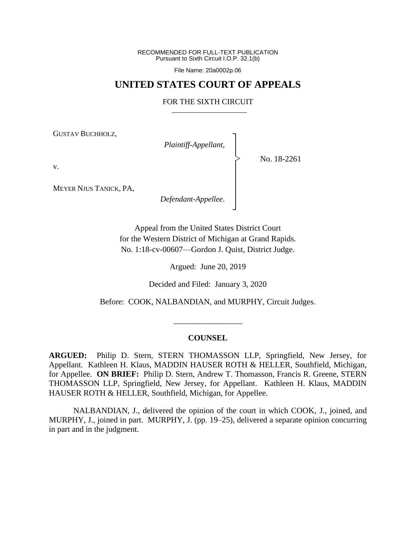RECOMMENDED FOR FULL-TEXT PUBLICATION Pursuant to Sixth Circuit I.O.P. 32.1(b)

File Name: 20a0002p.06

# **UNITED STATES COURT OF APPEALS**

## FOR THE SIXTH CIRCUIT

┐

│ │ │ │ │ │ ┘

|<br>|<br>|

GUSTAV BUCHHOLZ,

*Plaintiff-Appellant*, │

No. 18-2261

v.

MEYER NJUS TANICK, PA,

*Defendant-Appellee*.

Appeal from the United States District Court for the Western District of Michigan at Grand Rapids. No. 1:18-cv-00607—Gordon J. Quist, District Judge.

Argued: June 20, 2019

Decided and Filed: January 3, 2020

Before: COOK, NALBANDIAN, and MURPHY, Circuit Judges.

\_\_\_\_\_\_\_\_\_\_\_\_\_\_\_\_\_

# **COUNSEL**

**ARGUED:** Philip D. Stern, STERN THOMASSON LLP, Springfield, New Jersey, for Appellant. Kathleen H. Klaus, MADDIN HAUSER ROTH & HELLER, Southfield, Michigan, for Appellee. **ON BRIEF:** Philip D. Stern, Andrew T. Thomasson, Francis R. Greene, STERN THOMASSON LLP, Springfield, New Jersey, for Appellant. Kathleen H. Klaus, MADDIN HAUSER ROTH & HELLER, Southfield, Michigan, for Appellee.

NALBANDIAN, J., delivered the opinion of the court in which COOK, J., joined, and MURPHY, J., joined in part. MURPHY, J. (pp. 19–25), delivered a separate opinion concurring in part and in the judgment.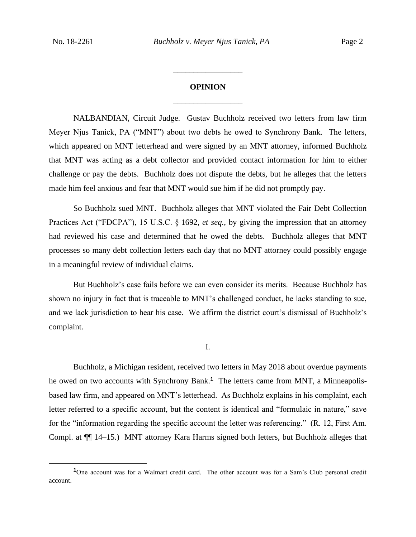# **OPINION** \_\_\_\_\_\_\_\_\_\_\_\_\_\_\_\_\_

\_\_\_\_\_\_\_\_\_\_\_\_\_\_\_\_\_

NALBANDIAN, Circuit Judge. Gustav Buchholz received two letters from law firm Meyer Njus Tanick, PA ("MNT") about two debts he owed to Synchrony Bank. The letters, which appeared on MNT letterhead and were signed by an MNT attorney, informed Buchholz that MNT was acting as a debt collector and provided contact information for him to either challenge or pay the debts. Buchholz does not dispute the debts, but he alleges that the letters made him feel anxious and fear that MNT would sue him if he did not promptly pay.

So Buchholz sued MNT. Buchholz alleges that MNT violated the Fair Debt Collection Practices Act ("FDCPA"), 15 U.S.C. § 1692, *et seq.*, by giving the impression that an attorney had reviewed his case and determined that he owed the debts. Buchholz alleges that MNT processes so many debt collection letters each day that no MNT attorney could possibly engage in a meaningful review of individual claims.

But Buchholz's case fails before we can even consider its merits. Because Buchholz has shown no injury in fact that is traceable to MNT's challenged conduct, he lacks standing to sue, and we lack jurisdiction to hear his case. We affirm the district court's dismissal of Buchholz's complaint.

I.

Buchholz, a Michigan resident, received two letters in May 2018 about overdue payments he owed on two accounts with Synchrony Bank.**<sup>1</sup>** The letters came from MNT, a Minneapolisbased law firm, and appeared on MNT's letterhead. As Buchholz explains in his complaint, each letter referred to a specific account, but the content is identical and "formulaic in nature," save for the "information regarding the specific account the letter was referencing." (R. 12, First Am. Compl. at ¶¶ 14–15.) MNT attorney Kara Harms signed both letters, but Buchholz alleges that

**<sup>1</sup>**One account was for a Walmart credit card. The other account was for a Sam's Club personal credit account.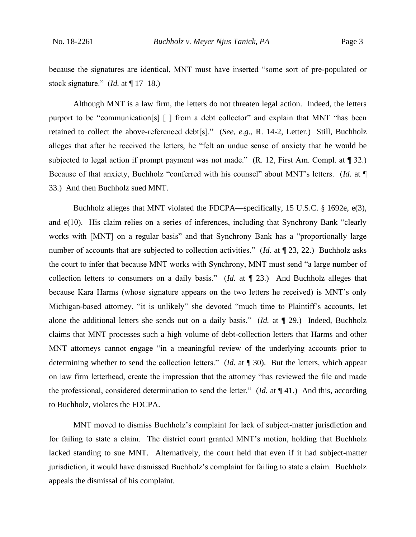because the signatures are identical, MNT must have inserted "some sort of pre-populated or stock signature." (*Id.* at ¶ 17–18.)

Although MNT is a law firm, the letters do not threaten legal action. Indeed, the letters purport to be "communication[s] [ ] from a debt collector" and explain that MNT "has been retained to collect the above-referenced debt[s]." (*See, e.g.*, R. 14-2, Letter.) Still, Buchholz alleges that after he received the letters, he "felt an undue sense of anxiety that he would be subjected to legal action if prompt payment was not made." (R. 12, First Am. Compl. at ¶ 32.) Because of that anxiety, Buchholz "conferred with his counsel" about MNT's letters. (*Id.* at ¶ 33.) And then Buchholz sued MNT.

Buchholz alleges that MNT violated the FDCPA—specifically, 15 U.S.C. § 1692e, e(3), and e(10). His claim relies on a series of inferences, including that Synchrony Bank "clearly works with [MNT] on a regular basis" and that Synchrony Bank has a "proportionally large number of accounts that are subjected to collection activities." (*Id.* at  $\P$  23, 22.) Buchholz asks the court to infer that because MNT works with Synchrony, MNT must send "a large number of collection letters to consumers on a daily basis." (*Id.* at ¶ 23.) And Buchholz alleges that because Kara Harms (whose signature appears on the two letters he received) is MNT's only Michigan-based attorney, "it is unlikely" she devoted "much time to Plaintiff's accounts, let alone the additional letters she sends out on a daily basis." (*Id.* at ¶ 29.) Indeed, Buchholz claims that MNT processes such a high volume of debt-collection letters that Harms and other MNT attorneys cannot engage "in a meaningful review of the underlying accounts prior to determining whether to send the collection letters." (*Id.* at ¶ 30). But the letters, which appear on law firm letterhead, create the impression that the attorney "has reviewed the file and made the professional, considered determination to send the letter." (*Id.* at ¶ 41.) And this, according to Buchholz, violates the FDCPA.

MNT moved to dismiss Buchholz's complaint for lack of subject-matter jurisdiction and for failing to state a claim. The district court granted MNT's motion, holding that Buchholz lacked standing to sue MNT. Alternatively, the court held that even if it had subject-matter jurisdiction, it would have dismissed Buchholz's complaint for failing to state a claim. Buchholz appeals the dismissal of his complaint.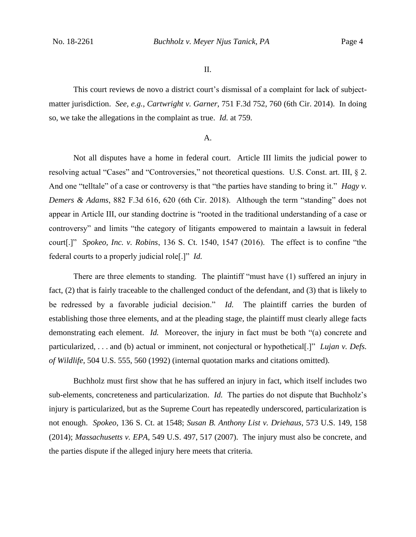II.

This court reviews de novo a district court's dismissal of a complaint for lack of subjectmatter jurisdiction. *See, e.g.*, *Cartwright v. Garner*, 751 F.3d 752, 760 (6th Cir. 2014). In doing so, we take the allegations in the complaint as true. *Id.* at 759*.*

#### A.

Not all disputes have a home in federal court. Article III limits the judicial power to resolving actual "Cases" and "Controversies," not theoretical questions. U.S. Const. art. III, § 2. And one "telltale" of a case or controversy is that "the parties have standing to bring it." *Hagy v. Demers & Adams*, 882 F.3d 616, 620 (6th Cir. 2018). Although the term "standing" does not appear in Article III, our standing doctrine is "rooted in the traditional understanding of a case or controversy" and limits "the category of litigants empowered to maintain a lawsuit in federal court[.]" *Spokeo, Inc. v. Robins*, 136 S. Ct. 1540, 1547 (2016). The effect is to confine "the federal courts to a properly judicial role[.]" *Id.*

There are three elements to standing. The plaintiff "must have (1) suffered an injury in fact, (2) that is fairly traceable to the challenged conduct of the defendant, and (3) that is likely to be redressed by a favorable judicial decision." *Id.* The plaintiff carries the burden of establishing those three elements, and at the pleading stage, the plaintiff must clearly allege facts demonstrating each element. *Id.* Moreover, the injury in fact must be both "(a) concrete and particularized, . . . and (b) actual or imminent, not conjectural or hypothetical[.]" *Lujan v. Defs. of Wildlife*, 504 U.S. 555, 560 (1992) (internal quotation marks and citations omitted).

Buchholz must first show that he has suffered an injury in fact, which itself includes two sub-elements, concreteness and particularization. *Id.* The parties do not dispute that Buchholz's injury is particularized, but as the Supreme Court has repeatedly underscored, particularization is not enough. *Spokeo*, 136 S. Ct. at 1548; *Susan B. Anthony List v. Driehaus*, 573 U.S. 149, 158 (2014); *Massachusetts v. EPA*, 549 U.S. 497, 517 (2007). The injury must also be concrete, and the parties dispute if the alleged injury here meets that criteria.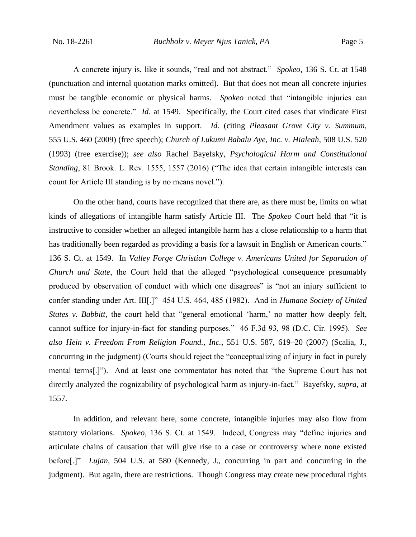A concrete injury is, like it sounds, "real and not abstract." *Spokeo*, 136 S. Ct. at 1548 (punctuation and internal quotation marks omitted). But that does not mean all concrete injuries must be tangible economic or physical harms. *Spokeo* noted that "intangible injuries can nevertheless be concrete." *Id.* at 1549. Specifically, the Court cited cases that vindicate First Amendment values as examples in support. *Id.* (citing *Pleasant Grove City v. Summum*, 555 U.S. 460 (2009) (free speech); *Church of Lukumi Babalu Aye, Inc. v. Hialeah*, 508 U.S. 520 (1993) (free exercise)); *see also* Rachel Bayefsky, *Psychological Harm and Constitutional Standing*, 81 Brook. L. Rev. 1555, 1557 (2016) ("The idea that certain intangible interests can count for Article III standing is by no means novel.").

On the other hand, courts have recognized that there are, as there must be, limits on what kinds of allegations of intangible harm satisfy Article III. The *Spokeo* Court held that "it is instructive to consider whether an alleged intangible harm has a close relationship to a harm that has traditionally been regarded as providing a basis for a lawsuit in English or American courts." 136 S. Ct. at 1549. In *Valley Forge Christian College v. Americans United for Separation of Church and State*, the Court held that the alleged "psychological consequence presumably produced by observation of conduct with which one disagrees" is "not an injury sufficient to confer standing under Art. III[.]" 454 U.S. 464, 485 (1982). And in *Humane Society of United States v. Babbitt*, the court held that "general emotional 'harm,' no matter how deeply felt, cannot suffice for injury-in-fact for standing purposes." 46 F.3d 93, 98 (D.C. Cir. 1995). *See also Hein v. Freedom From Religion Found., Inc.*, 551 U.S. 587, 619–20 (2007) (Scalia, J., concurring in the judgment) (Courts should reject the "conceptualizing of injury in fact in purely mental terms[.]"). And at least one commentator has noted that "the Supreme Court has not directly analyzed the cognizability of psychological harm as injury-in-fact." Bayefsky, *supra*, at 1557.

In addition, and relevant here, some concrete, intangible injuries may also flow from statutory violations. *Spokeo*, 136 S. Ct. at 1549. Indeed, Congress may "define injuries and articulate chains of causation that will give rise to a case or controversy where none existed before[.]" *Lujan*, 504 U.S. at 580 (Kennedy, J., concurring in part and concurring in the judgment). But again, there are restrictions. Though Congress may create new procedural rights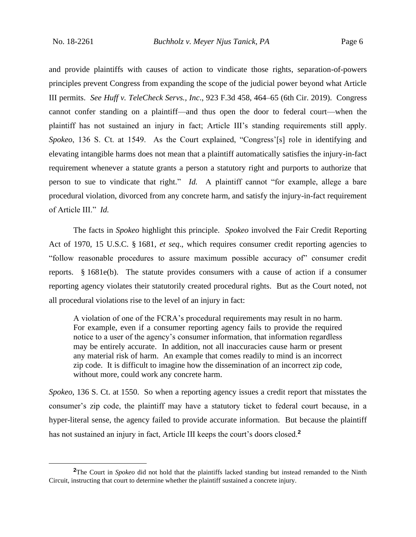and provide plaintiffs with causes of action to vindicate those rights, separation-of-powers principles prevent Congress from expanding the scope of the judicial power beyond what Article III permits. *See Huff v. TeleCheck Servs., Inc*., 923 F.3d 458, 464–65 (6th Cir. 2019). Congress cannot confer standing on a plaintiff—and thus open the door to federal court—when the plaintiff has not sustained an injury in fact; Article III's standing requirements still apply. *Spokeo*, 136 S. Ct. at 1549. As the Court explained, "Congress'[s] role in identifying and elevating intangible harms does not mean that a plaintiff automatically satisfies the injury-in-fact requirement whenever a statute grants a person a statutory right and purports to authorize that person to sue to vindicate that right." *Id.* A plaintiff cannot "for example, allege a bare procedural violation, divorced from any concrete harm, and satisfy the injury-in-fact requirement of Article III." *Id.*

The facts in *Spokeo* highlight this principle. *Spokeo* involved the Fair Credit Reporting Act of 1970, 15 U.S.C. § 1681, *et seq*., which requires consumer credit reporting agencies to "follow reasonable procedures to assure maximum possible accuracy of" consumer credit reports. § 1681e(b). The statute provides consumers with a cause of action if a consumer reporting agency violates their statutorily created procedural rights. But as the Court noted, not all procedural violations rise to the level of an injury in fact:

A violation of one of the FCRA's procedural requirements may result in no harm. For example, even if a consumer reporting agency fails to provide the required notice to a user of the agency's consumer information, that information regardless may be entirely accurate. In addition, not all inaccuracies cause harm or present any material risk of harm. An example that comes readily to mind is an incorrect zip code. It is difficult to imagine how the dissemination of an incorrect zip code, without more, could work any concrete harm.

*Spokeo*, 136 S. Ct. at 1550. So when a reporting agency issues a credit report that misstates the consumer's zip code, the plaintiff may have a statutory ticket to federal court because, in a hyper-literal sense, the agency failed to provide accurate information. But because the plaintiff has not sustained an injury in fact, Article III keeps the court's doors closed.**<sup>2</sup>**

**<sup>2</sup>**The Court in *Spokeo* did not hold that the plaintiffs lacked standing but instead remanded to the Ninth Circuit, instructing that court to determine whether the plaintiff sustained a concrete injury.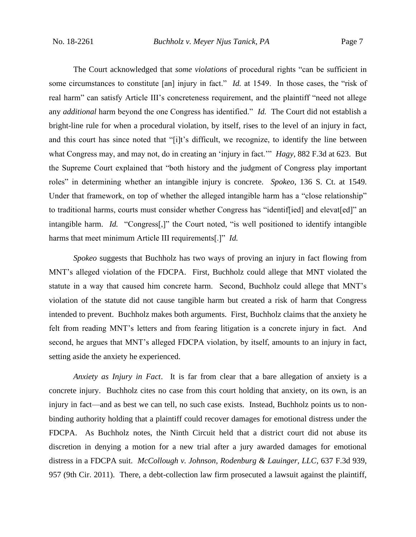The Court acknowledged that *some violations* of procedural rights "can be sufficient in some circumstances to constitute [an] injury in fact." *Id.* at 1549. In those cases, the "risk of real harm" can satisfy Article III's concreteness requirement, and the plaintiff "need not allege any *additional* harm beyond the one Congress has identified." *Id.* The Court did not establish a bright-line rule for when a procedural violation, by itself, rises to the level of an injury in fact, and this court has since noted that "[i]t's difficult, we recognize, to identify the line between what Congress may, and may not, do in creating an 'injury in fact.'" *Hagy*, 882 F.3d at 623. But the Supreme Court explained that "both history and the judgment of Congress play important roles" in determining whether an intangible injury is concrete. *Spokeo*, 136 S. Ct. at 1549. Under that framework, on top of whether the alleged intangible harm has a "close relationship" to traditional harms, courts must consider whether Congress has "identif[ied] and elevat[ed]" an intangible harm. *Id.* "Congress[,]" the Court noted, "is well positioned to identify intangible harms that meet minimum Article III requirements[.]" *Id.*

*Spokeo* suggests that Buchholz has two ways of proving an injury in fact flowing from MNT's alleged violation of the FDCPA. First, Buchholz could allege that MNT violated the statute in a way that caused him concrete harm. Second, Buchholz could allege that MNT's violation of the statute did not cause tangible harm but created a risk of harm that Congress intended to prevent. Buchholz makes both arguments. First, Buchholz claims that the anxiety he felt from reading MNT's letters and from fearing litigation is a concrete injury in fact. And second, he argues that MNT's alleged FDCPA violation, by itself, amounts to an injury in fact, setting aside the anxiety he experienced.

*Anxiety as Injury in Fact*. It is far from clear that a bare allegation of anxiety is a concrete injury. Buchholz cites no case from this court holding that anxiety, on its own, is an injury in fact—and as best we can tell, no such case exists. Instead, Buchholz points us to nonbinding authority holding that a plaintiff could recover damages for emotional distress under the FDCPA. As Buchholz notes, the Ninth Circuit held that a district court did not abuse its discretion in denying a motion for a new trial after a jury awarded damages for emotional distress in a FDCPA suit. *McCollough v. Johnson, Rodenburg & Lauinger, LLC*, 637 F.3d 939, 957 (9th Cir. 2011). There, a debt-collection law firm prosecuted a lawsuit against the plaintiff,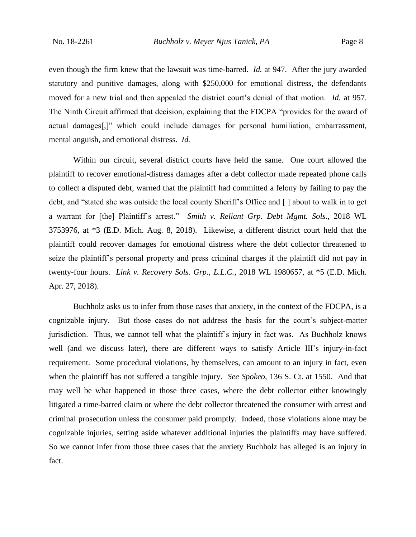even though the firm knew that the lawsuit was time-barred. *Id.* at 947. After the jury awarded statutory and punitive damages, along with \$250,000 for emotional distress, the defendants moved for a new trial and then appealed the district court's denial of that motion. *Id.* at 957. The Ninth Circuit affirmed that decision, explaining that the FDCPA "provides for the award of actual damages[,]" which could include damages for personal humiliation, embarrassment, mental anguish, and emotional distress. *Id.*

Within our circuit, several district courts have held the same. One court allowed the plaintiff to recover emotional-distress damages after a debt collector made repeated phone calls to collect a disputed debt, warned that the plaintiff had committed a felony by failing to pay the debt, and "stated she was outside the local county Sheriff's Office and [] about to walk in to get a warrant for [the] Plaintiff's arrest." *Smith v. Reliant Grp. Debt Mgmt. Sols.*, 2018 WL 3753976, at \*3 (E.D. Mich. Aug. 8, 2018). Likewise, a different district court held that the plaintiff could recover damages for emotional distress where the debt collector threatened to seize the plaintiff's personal property and press criminal charges if the plaintiff did not pay in twenty-four hours. *Link v. Recovery Sols. Grp., L.L.C.*, 2018 WL 1980657, at \*5 (E.D. Mich. Apr. 27, 2018).

Buchholz asks us to infer from those cases that anxiety, in the context of the FDCPA, is a cognizable injury. But those cases do not address the basis for the court's subject-matter jurisdiction. Thus, we cannot tell what the plaintiff's injury in fact was. As Buchholz knows well (and we discuss later), there are different ways to satisfy Article III's injury-in-fact requirement. Some procedural violations, by themselves, can amount to an injury in fact, even when the plaintiff has not suffered a tangible injury. *See Spokeo*, 136 S. Ct. at 1550.And that may well be what happened in those three cases, where the debt collector either knowingly litigated a time-barred claim or where the debt collector threatened the consumer with arrest and criminal prosecution unless the consumer paid promptly. Indeed, those violations alone may be cognizable injuries, setting aside whatever additional injuries the plaintiffs may have suffered. So we cannot infer from those three cases that the anxiety Buchholz has alleged is an injury in fact.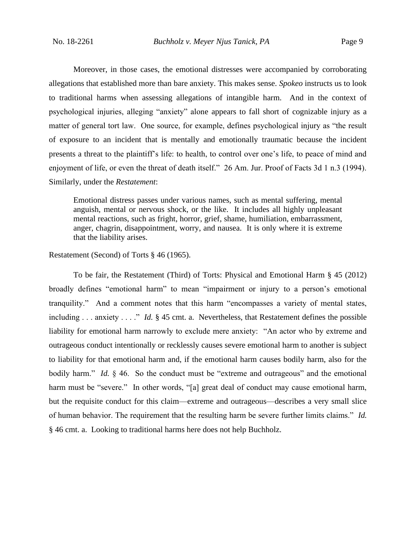Moreover, in those cases, the emotional distresses were accompanied by corroborating allegations that established more than bare anxiety. This makes sense. *Spokeo* instructs us to look to traditional harms when assessing allegations of intangible harm. And in the context of psychological injuries, alleging "anxiety" alone appears to fall short of cognizable injury as a matter of general tort law. One source, for example, defines psychological injury as "the result of exposure to an incident that is mentally and emotionally traumatic because the incident presents a threat to the plaintiff's life: to health, to control over one's life, to peace of mind and enjoyment of life, or even the threat of death itself." 26 Am. Jur. Proof of Facts 3d 1 n.3 (1994). Similarly, under the *Restatement*:

Emotional distress passes under various names, such as mental suffering, mental anguish, mental or nervous shock, or the like. It includes all highly unpleasant mental reactions, such as fright, horror, grief, shame, humiliation, embarrassment, anger, chagrin, disappointment, worry, and nausea. It is only where it is extreme that the liability arises.

## Restatement (Second) of Torts § 46 (1965).

To be fair, the Restatement (Third) of Torts: Physical and Emotional Harm § 45 (2012) broadly defines "emotional harm" to mean "impairment or injury to a person's emotional tranquility." And a comment notes that this harm "encompasses a variety of mental states, including . . . anxiety . . . ." *Id.* § 45 cmt. a. Nevertheless, that Restatement defines the possible liability for emotional harm narrowly to exclude mere anxiety: "An actor who by extreme and outrageous conduct intentionally or recklessly causes severe emotional harm to another is subject to liability for that emotional harm and, if the emotional harm causes bodily harm, also for the bodily harm." *Id.* § 46. So the conduct must be "extreme and outrageous" and the emotional harm must be "severe." In other words, "[a] great deal of conduct may cause emotional harm, but the requisite conduct for this claim—extreme and outrageous—describes a very small slice of human behavior. The requirement that the resulting harm be severe further limits claims." *Id.* § 46 cmt. a. Looking to traditional harms here does not help Buchholz.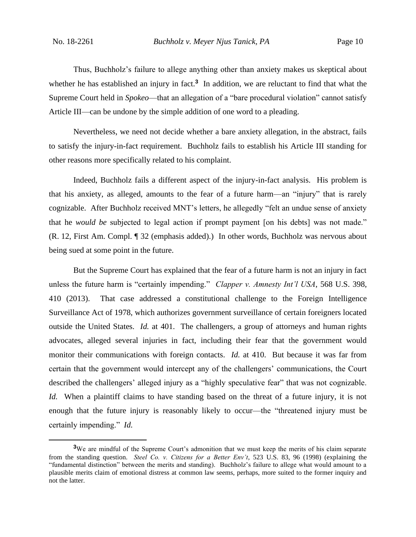Thus, Buchholz's failure to allege anything other than anxiety makes us skeptical about whether he has established an injury in fact.<sup>3</sup> In addition, we are reluctant to find that what the Supreme Court held in *Spokeo*⸺that an allegation of a "bare procedural violation" cannot satisfy Article III—can be undone by the simple addition of one word to a pleading.

Nevertheless, we need not decide whether a bare anxiety allegation, in the abstract, fails to satisfy the injury-in-fact requirement. Buchholz fails to establish his Article III standing for other reasons more specifically related to his complaint.

Indeed, Buchholz fails a different aspect of the injury-in-fact analysis. His problem is that his anxiety, as alleged, amounts to the fear of a future harm—an "injury" that is rarely cognizable. After Buchholz received MNT's letters, he allegedly "felt an undue sense of anxiety that he *would be* subjected to legal action if prompt payment [on his debts] was not made." (R. 12, First Am. Compl. ¶ 32 (emphasis added).) In other words, Buchholz was nervous about being sued at some point in the future.

But the Supreme Court has explained that the fear of a future harm is not an injury in fact unless the future harm is "certainly impending." *Clapper v. Amnesty Int'l USA*, 568 U.S. 398, 410 (2013). That case addressed a constitutional challenge to the Foreign Intelligence Surveillance Act of 1978, which authorizes government surveillance of certain foreigners located outside the United States. *Id.* at 401. The challengers, a group of attorneys and human rights advocates, alleged several injuries in fact, including their fear that the government would monitor their communications with foreign contacts. *Id.* at 410. But because it was far from certain that the government would intercept any of the challengers' communications, the Court described the challengers' alleged injury as a "highly speculative fear" that was not cognizable. *Id.* When a plaintiff claims to have standing based on the threat of a future injury, it is not enough that the future injury is reasonably likely to occur—the "threatened injury must be certainly impending." *Id.*

**<sup>3</sup>**We are mindful of the Supreme Court's admonition that we must keep the merits of his claim separate from the standing question. *Steel Co. v. Citizens for a Better Env't*, 523 U.S. 83, 96 (1998) (explaining the "fundamental distinction" between the merits and standing). Buchholz's failure to allege what would amount to a plausible merits claim of emotional distress at common law seems, perhaps, more suited to the former inquiry and not the latter.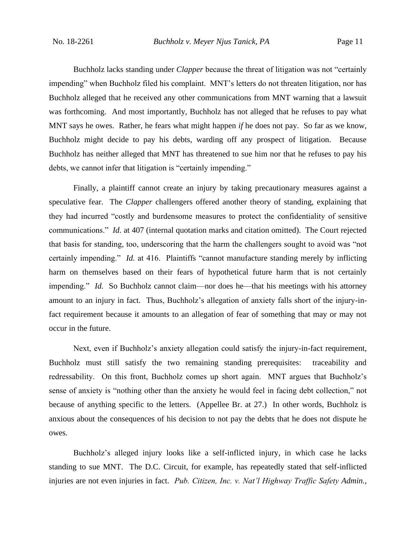Buchholz lacks standing under *Clapper* because the threat of litigation was not "certainly impending" when Buchholz filed his complaint. MNT's letters do not threaten litigation, nor has Buchholz alleged that he received any other communications from MNT warning that a lawsuit was forthcoming. And most importantly, Buchholz has not alleged that he refuses to pay what MNT says he owes. Rather, he fears what might happen *if* he does not pay. So far as we know, Buchholz might decide to pay his debts, warding off any prospect of litigation. Because Buchholz has neither alleged that MNT has threatened to sue him nor that he refuses to pay his debts, we cannot infer that litigation is "certainly impending."

Finally, a plaintiff cannot create an injury by taking precautionary measures against a speculative fear. The *Clapper* challengers offered another theory of standing, explaining that they had incurred "costly and burdensome measures to protect the confidentiality of sensitive communications." *Id.* at 407 (internal quotation marks and citation omitted). The Court rejected that basis for standing, too, underscoring that the harm the challengers sought to avoid was "not certainly impending." *Id.* at 416. Plaintiffs "cannot manufacture standing merely by inflicting harm on themselves based on their fears of hypothetical future harm that is not certainly impending." *Id.* So Buchholz cannot claim—nor does he—that his meetings with his attorney amount to an injury in fact. Thus, Buchholz's allegation of anxiety falls short of the injury-infact requirement because it amounts to an allegation of fear of something that may or may not occur in the future.

Next, even if Buchholz's anxiety allegation could satisfy the injury-in-fact requirement, Buchholz must still satisfy the two remaining standing prerequisites: traceability and redressability. On this front, Buchholz comes up short again. MNT argues that Buchholz's sense of anxiety is "nothing other than the anxiety he would feel in facing debt collection," not because of anything specific to the letters. (Appellee Br. at 27.) In other words, Buchholz is anxious about the consequences of his decision to not pay the debts that he does not dispute he owes.

Buchholz's alleged injury looks like a self-inflicted injury, in which case he lacks standing to sue MNT. The D.C. Circuit, for example, has repeatedly stated that self-inflicted injuries are not even injuries in fact. *Pub. Citizen, Inc. v. Nat'l Highway Traffic Safety Admin.*,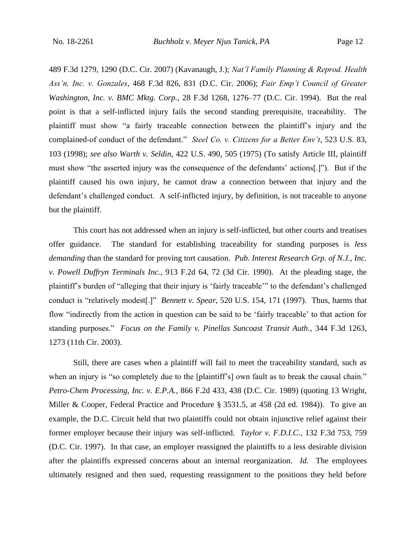489 F.3d 1279, 1290 (D.C. Cir. 2007) (Kavanaugh, J.); *Nat'l Family Planning & Reprod. Health Ass'n, Inc. v. Gonzales*, 468 F.3d 826, 831 (D.C. Cir. 2006); *Fair Emp't Council of Greater Washington, Inc. v. BMC Mktg. Corp.*, 28 F.3d 1268, 1276–77 (D.C. Cir. 1994). But the real point is that a self-inflicted injury fails the second standing prerequisite, traceability. The plaintiff must show "a fairly traceable connection between the plaintiff's injury and the complained-of conduct of the defendant." *Steel Co. v. Citizens for a Better Env't*, 523 U.S. 83, 103 (1998); *see also Warth v. Seldin*, 422 U.S. 490, 505 (1975) (To satisfy Article III, plaintiff must show "the asserted injury was the consequence of the defendants' actions[.]"). But if the plaintiff caused his own injury, he cannot draw a connection between that injury and the defendant's challenged conduct. A self-inflicted injury, by definition, is not traceable to anyone but the plaintiff.

This court has not addressed when an injury is self-inflicted, but other courts and treatises offer guidance. The standard for establishing traceability for standing purposes is *less demanding* than the standard for proving tort causation. *Pub. Interest Research Grp. of N.J., Inc. v. Powell Duffryn Terminals Inc.*, 913 F.2d 64, 72 (3d Cir. 1990). At the pleading stage, the plaintiff's burden of "alleging that their injury is 'fairly traceable'" to the defendant's challenged conduct is "relatively modest[.]" *Bennett v. Spear*, 520 U.S. 154, 171 (1997). Thus, harms that flow "indirectly from the action in question can be said to be 'fairly traceable' to that action for standing purposes." *Focus on the Family v. Pinellas Suncoast Transit Auth.*, 344 F.3d 1263, 1273 (11th Cir. 2003).

Still, there are cases when a plaintiff will fail to meet the traceability standard, such as when an injury is "so completely due to the [plaintiff's] own fault as to break the causal chain." *Petro-Chem Processing, Inc. v. E.P.A.*, 866 F.2d 433, 438 (D.C. Cir. 1989) (quoting 13 Wright, Miller & Cooper, Federal Practice and Procedure § 3531.5, at 458 (2d ed. 1984)). To give an example, the D.C. Circuit held that two plaintiffs could not obtain injunctive relief against their former employer because their injury was self-inflicted. *Taylor v. F.D.I.C.*, 132 F.3d 753, 759 (D.C. Cir. 1997). In that case, an employer reassigned the plaintiffs to a less desirable division after the plaintiffs expressed concerns about an internal reorganization. *Id.* The employees ultimately resigned and then sued, requesting reassignment to the positions they held before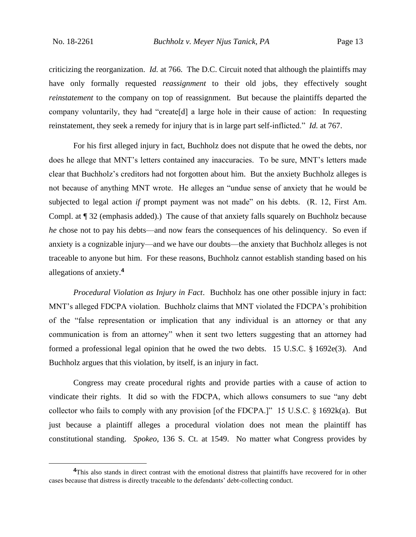criticizing the reorganization. *Id.* at 766. The D.C. Circuit noted that although the plaintiffs may have only formally requested *reassignment* to their old jobs, they effectively sought *reinstatement* to the company on top of reassignment. But because the plaintiffs departed the company voluntarily, they had "create[d] a large hole in their cause of action: In requesting reinstatement, they seek a remedy for injury that is in large part self-inflicted." *Id.* at 767.

For his first alleged injury in fact, Buchholz does not dispute that he owed the debts, nor does he allege that MNT's letters contained any inaccuracies. To be sure, MNT's letters made clear that Buchholz's creditors had not forgotten about him. But the anxiety Buchholz alleges is not because of anything MNT wrote. He alleges an "undue sense of anxiety that he would be subjected to legal action *if* prompt payment was not made" on his debts. (R. 12, First Am. Compl. at ¶ 32 (emphasis added).) The cause of that anxiety falls squarely on Buchholz because *he* chose not to pay his debts—and now fears the consequences of his delinquency. So even if anxiety is a cognizable injury—and we have our doubts—the anxiety that Buchholz alleges is not traceable to anyone but him. For these reasons, Buchholz cannot establish standing based on his allegations of anxiety.**<sup>4</sup>**

*Procedural Violation as Injury in Fact*. Buchholz has one other possible injury in fact: MNT's alleged FDCPA violation. Buchholz claims that MNT violated the FDCPA's prohibition of the "false representation or implication that any individual is an attorney or that any communication is from an attorney" when it sent two letters suggesting that an attorney had formed a professional legal opinion that he owed the two debts. 15 U.S.C. § 1692e(3). And Buchholz argues that this violation, by itself, is an injury in fact.

Congress may create procedural rights and provide parties with a cause of action to vindicate their rights. It did so with the FDCPA, which allows consumers to sue "any debt collector who fails to comply with any provision [of the FDCPA.]" 15 U.S.C.  $\S$  1692k(a). But just because a plaintiff alleges a procedural violation does not mean the plaintiff has constitutional standing. *Spokeo*, 136 S. Ct. at 1549. No matter what Congress provides by

<sup>&</sup>lt;sup>4</sup>This also stands in direct contrast with the emotional distress that plaintiffs have recovered for in other cases because that distress is directly traceable to the defendants' debt-collecting conduct.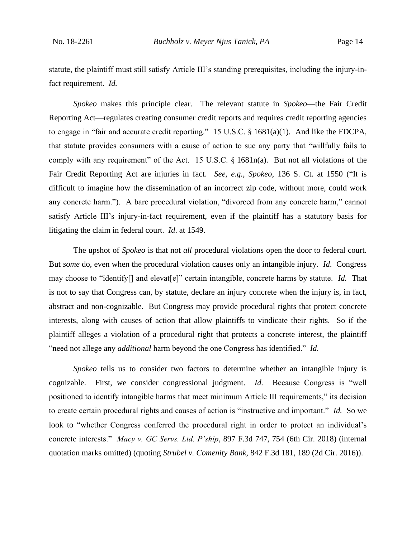statute, the plaintiff must still satisfy Article III's standing prerequisites, including the injury-infact requirement. *Id.*

*Spokeo* makes this principle clear. The relevant statute in *Spokeo*—the Fair Credit Reporting Act—regulates creating consumer credit reports and requires credit reporting agencies to engage in "fair and accurate credit reporting." 15 U.S.C. § 1681(a)(1). And like the FDCPA, that statute provides consumers with a cause of action to sue any party that "willfully fails to comply with any requirement" of the Act. 15 U.S.C. § 1681n(a). But not all violations of the Fair Credit Reporting Act are injuries in fact. *See, e.g.*, *Spokeo*, 136 S. Ct. at 1550 ("It is difficult to imagine how the dissemination of an incorrect zip code, without more, could work any concrete harm."). A bare procedural violation, "divorced from any concrete harm," cannot satisfy Article III's injury-in-fact requirement, even if the plaintiff has a statutory basis for litigating the claim in federal court. *Id*. at 1549.

The upshot of *Spokeo* is that not *all* procedural violations open the door to federal court. But *some* do, even when the procedural violation causes only an intangible injury. *Id*. Congress may choose to "identify[] and elevat[e]" certain intangible, concrete harms by statute. *Id.* That is not to say that Congress can, by statute, declare an injury concrete when the injury is, in fact, abstract and non-cognizable. But Congress may provide procedural rights that protect concrete interests, along with causes of action that allow plaintiffs to vindicate their rights. So if the plaintiff alleges a violation of a procedural right that protects a concrete interest, the plaintiff "need not allege any *additional* harm beyond the one Congress has identified." *Id.*

*Spokeo* tells us to consider two factors to determine whether an intangible injury is cognizable. First, we consider congressional judgment. *Id.* Because Congress is "well positioned to identify intangible harms that meet minimum Article III requirements," its decision to create certain procedural rights and causes of action is "instructive and important." *Id.* So we look to "whether Congress conferred the procedural right in order to protect an individual's concrete interests." *Macy v. GC Servs. Ltd. P'ship*, 897 F.3d 747, 754 (6th Cir. 2018) (internal quotation marks omitted) (quoting *Strubel v. Comenity Bank*, 842 F.3d 181, 189 (2d Cir. 2016)).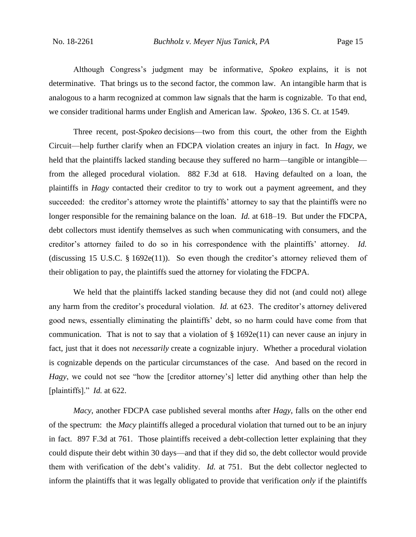Although Congress's judgment may be informative, *Spokeo* explains, it is not determinative. That brings us to the second factor, the common law. An intangible harm that is analogous to a harm recognized at common law signals that the harm is cognizable. To that end, we consider traditional harms under English and American law. *Spokeo*, 136 S. Ct. at 1549.

Three recent, post-*Spokeo* decisions—two from this court, the other from the Eighth Circuit—help further clarify when an FDCPA violation creates an injury in fact. In *Hagy*, we held that the plaintiffs lacked standing because they suffered no harm—tangible or intangible from the alleged procedural violation. 882 F.3d at 618. Having defaulted on a loan, the plaintiffs in *Hagy* contacted their creditor to try to work out a payment agreement, and they succeeded: the creditor's attorney wrote the plaintiffs' attorney to say that the plaintiffs were no longer responsible for the remaining balance on the loan. *Id.* at 618–19. But under the FDCPA, debt collectors must identify themselves as such when communicating with consumers, and the creditor's attorney failed to do so in his correspondence with the plaintiffs' attorney. *Id.* (discussing 15 U.S.C. § 1692e(11)). So even though the creditor's attorney relieved them of their obligation to pay, the plaintiffs sued the attorney for violating the FDCPA.

We held that the plaintiffs lacked standing because they did not (and could not) allege any harm from the creditor's procedural violation. *Id.* at 623. The creditor's attorney delivered good news, essentially eliminating the plaintiffs' debt, so no harm could have come from that communication. That is not to say that a violation of  $\S 1692e(11)$  can never cause an injury in fact, just that it does not *necessarily* create a cognizable injury. Whether a procedural violation is cognizable depends on the particular circumstances of the case. And based on the record in *Hagy*, we could not see "how the [creditor attorney's] letter did anything other than help the [plaintiffs]." *Id.* at 622.

*Macy*, another FDCPA case published several months after *Hagy*, falls on the other end of the spectrum: the *Macy* plaintiffs alleged a procedural violation that turned out to be an injury in fact. 897 F.3d at 761. Those plaintiffs received a debt-collection letter explaining that they could dispute their debt within 30 days—and that if they did so, the debt collector would provide them with verification of the debt's validity. *Id.* at 751. But the debt collector neglected to inform the plaintiffs that it was legally obligated to provide that verification *only* if the plaintiffs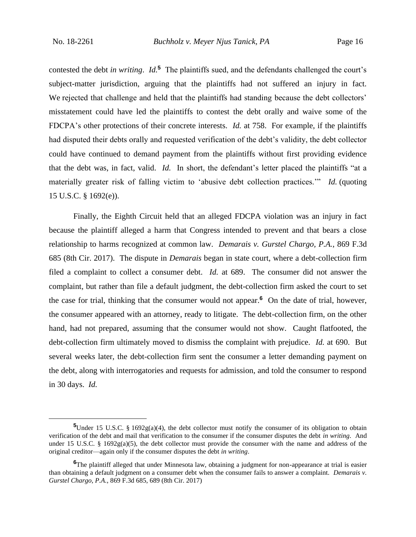contested the debt *in writing*. *Id.***<sup>5</sup>** The plaintiffs sued, and the defendants challenged the court's subject-matter jurisdiction, arguing that the plaintiffs had not suffered an injury in fact. We rejected that challenge and held that the plaintiffs had standing because the debt collectors' misstatement could have led the plaintiffs to contest the debt orally and waive some of the FDCPA's other protections of their concrete interests. *Id.* at 758. For example, if the plaintiffs had disputed their debts orally and requested verification of the debt's validity, the debt collector could have continued to demand payment from the plaintiffs without first providing evidence that the debt was, in fact, valid. *Id.* In short, the defendant's letter placed the plaintiffs "at a materially greater risk of falling victim to 'abusive debt collection practices.'" *Id.* (quoting 15 U.S.C. § 1692(e)).

Finally, the Eighth Circuit held that an alleged FDCPA violation was an injury in fact because the plaintiff alleged a harm that Congress intended to prevent and that bears a close relationship to harms recognized at common law. *Demarais v. Gurstel Chargo, P.A.*, 869 F.3d 685 (8th Cir. 2017). The dispute in *Demarais* began in state court, where a debt-collection firm filed a complaint to collect a consumer debt. *Id.* at 689. The consumer did not answer the complaint, but rather than file a default judgment, the debt-collection firm asked the court to set the case for trial, thinking that the consumer would not appear.**<sup>6</sup>** On the date of trial, however, the consumer appeared with an attorney, ready to litigate. The debt-collection firm, on the other hand, had not prepared, assuming that the consumer would not show. Caught flatfooted, the debt-collection firm ultimately moved to dismiss the complaint with prejudice. *Id.* at 690. But several weeks later, the debt-collection firm sent the consumer a letter demanding payment on the debt, along with interrogatories and requests for admission, and told the consumer to respond in 30 days. *Id.*

**<sup>5</sup>**Under 15 U.S.C. § 1692g(a)(4), the debt collector must notify the consumer of its obligation to obtain verification of the debt and mail that verification to the consumer if the consumer disputes the debt *in writing*. And under 15 U.S.C. § 1692g(a)(5), the debt collector must provide the consumer with the name and address of the original creditor—again only if the consumer disputes the debt *in writing*.

**<sup>6</sup>**The plaintiff alleged that under Minnesota law, obtaining a judgment for non-appearance at trial is easier than obtaining a default judgment on a consumer debt when the consumer fails to answer a complaint. *Demarais v. Gurstel Chargo, P.A.*, 869 F.3d 685, 689 (8th Cir. 2017)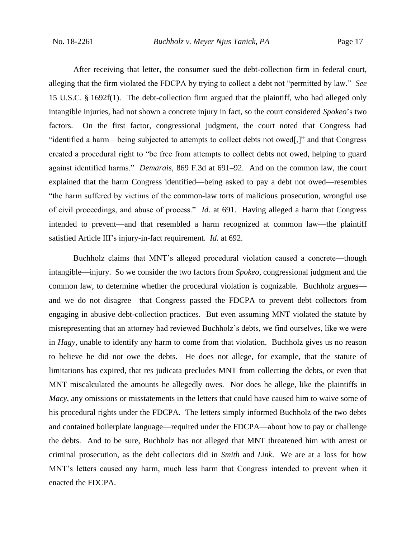After receiving that letter, the consumer sued the debt-collection firm in federal court, alleging that the firm violated the FDCPA by trying to collect a debt not "permitted by law." *See*  15 U.S.C. § 1692f(1). The debt-collection firm argued that the plaintiff, who had alleged only intangible injuries, had not shown a concrete injury in fact, so the court considered *Spokeo*'s two factors. On the first factor, congressional judgment, the court noted that Congress had "identified a harm—being subjected to attempts to collect debts not owed[,]" and that Congress created a procedural right to "be free from attempts to collect debts not owed, helping to guard against identified harms." *Demarais*, 869 F.3d at 691–92. And on the common law, the court explained that the harm Congress identified—being asked to pay a debt not owed—resembles "the harm suffered by victims of the common-law torts of malicious prosecution, wrongful use of civil proceedings, and abuse of process." *Id.* at 691. Having alleged a harm that Congress intended to prevent—and that resembled a harm recognized at common law—the plaintiff satisfied Article III's injury-in-fact requirement. *Id.* at 692.

Buchholz claims that MNT's alleged procedural violation caused a concrete—though intangible—injury. So we consider the two factors from *Spokeo*, congressional judgment and the common law, to determine whether the procedural violation is cognizable. Buchholz argues and we do not disagree—that Congress passed the FDCPA to prevent debt collectors from engaging in abusive debt-collection practices. But even assuming MNT violated the statute by misrepresenting that an attorney had reviewed Buchholz's debts, we find ourselves, like we were in *Hagy*, unable to identify any harm to come from that violation. Buchholz gives us no reason to believe he did not owe the debts. He does not allege, for example, that the statute of limitations has expired, that res judicata precludes MNT from collecting the debts, or even that MNT miscalculated the amounts he allegedly owes. Nor does he allege, like the plaintiffs in *Macy*, any omissions or misstatements in the letters that could have caused him to waive some of his procedural rights under the FDCPA. The letters simply informed Buchholz of the two debts and contained boilerplate language—required under the FDCPA—about how to pay or challenge the debts. And to be sure, Buchholz has not alleged that MNT threatened him with arrest or criminal prosecution, as the debt collectors did in *Smith* and *Link*. We are at a loss for how MNT's letters caused any harm, much less harm that Congress intended to prevent when it enacted the FDCPA.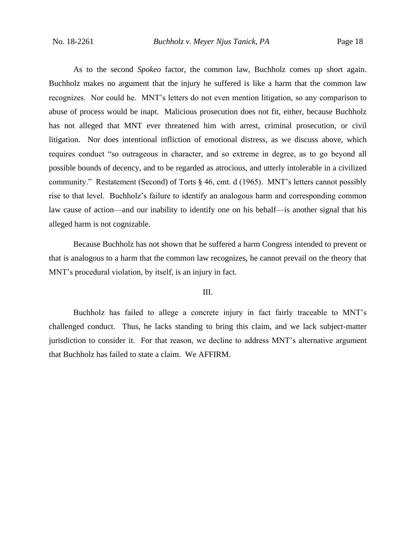As to the second *Spokeo* factor, the common law, Buchholz comes up short again. Buchholz makes no argument that the injury he suffered is like a harm that the common law recognizes. Nor could he. MNT's letters do not even mention litigation, so any comparison to abuse of process would be inapt. Malicious prosecution does not fit, either, because Buchholz has not alleged that MNT ever threatened him with arrest, criminal prosecution, or civil litigation. Nor does intentional infliction of emotional distress, as we discuss above, which requires conduct "so outrageous in character, and so extreme in degree, as to go beyond all possible bounds of decency, and to be regarded as atrocious, and utterly intolerable in a civilized community." Restatement (Second) of Torts § 46, cmt. d (1965). MNT's letters cannot possibly rise to that level. Buchholz's failure to identify an analogous harm and corresponding common law cause of action—and our inability to identify one on his behalf—is another signal that his alleged harm is not cognizable.

Because Buchholz has not shown that he suffered a harm Congress intended to prevent or that is analogous to a harm that the common law recognizes, he cannot prevail on the theory that MNT's procedural violation, by itself, is an injury in fact.

## III.

Buchholz has failed to allege a concrete injury in fact fairly traceable to MNT's challenged conduct. Thus, he lacks standing to bring this claim, and we lack subject-matter jurisdiction to consider it. For that reason, we decline to address MNT's alternative argument that Buchholz has failed to state a claim. We AFFIRM.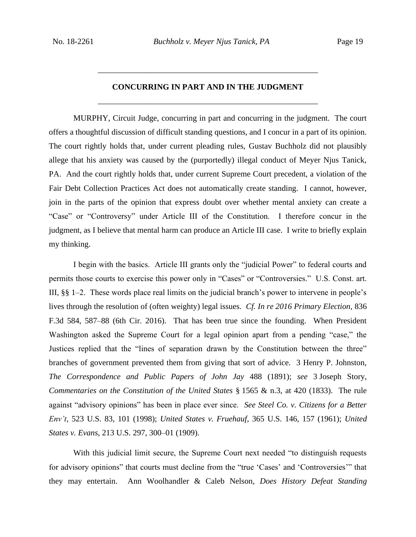# **CONCURRING IN PART AND IN THE JUDGMENT** \_\_\_\_\_\_\_\_\_\_\_\_\_\_\_\_\_\_\_\_\_\_\_\_\_\_\_\_\_\_\_\_\_\_\_\_\_\_\_\_\_\_\_\_\_\_\_\_\_\_\_\_\_\_

\_\_\_\_\_\_\_\_\_\_\_\_\_\_\_\_\_\_\_\_\_\_\_\_\_\_\_\_\_\_\_\_\_\_\_\_\_\_\_\_\_\_\_\_\_\_\_\_\_\_\_\_\_\_

MURPHY, Circuit Judge, concurring in part and concurring in the judgment. The court offers a thoughtful discussion of difficult standing questions, and I concur in a part of its opinion. The court rightly holds that, under current pleading rules, Gustav Buchholz did not plausibly allege that his anxiety was caused by the (purportedly) illegal conduct of Meyer Njus Tanick, PA. And the court rightly holds that, under current Supreme Court precedent, a violation of the Fair Debt Collection Practices Act does not automatically create standing. I cannot, however, join in the parts of the opinion that express doubt over whether mental anxiety can create a "Case" or "Controversy" under Article III of the Constitution. I therefore concur in the judgment, as I believe that mental harm can produce an Article III case. I write to briefly explain my thinking.

I begin with the basics. Article III grants only the "judicial Power" to federal courts and permits those courts to exercise this power only in "Cases" or "Controversies." U.S. Const. art. III, §§ 1–2. These words place real limits on the judicial branch's power to intervene in people's lives through the resolution of (often weighty) legal issues. *Cf. In re 2016 Primary Election*, 836 F.3d 584, 587–88 (6th Cir. 2016). That has been true since the founding. When President Washington asked the Supreme Court for a legal opinion apart from a pending "case," the Justices replied that the "lines of separation drawn by the Constitution between the three" branches of government prevented them from giving that sort of advice. 3 Henry P. Johnston, *The Correspondence and Public Papers of John Jay* 488 (1891); *see* 3 Joseph Story, *Commentaries on the Constitution of the United States* § 1565 & n.3, at 420 (1833). The rule against "advisory opinions" has been in place ever since. *See Steel Co. v. Citizens for a Better Env't*, 523 U.S. 83, 101 (1998); *United States v. Fruehauf*, 365 U.S. 146, 157 (1961); *United States v. Evans*, 213 U.S. 297, 300–01 (1909).

With this judicial limit secure, the Supreme Court next needed "to distinguish requests for advisory opinions" that courts must decline from the "true 'Cases' and 'Controversies'" that they may entertain. Ann Woolhandler & Caleb Nelson, *Does History Defeat Standing*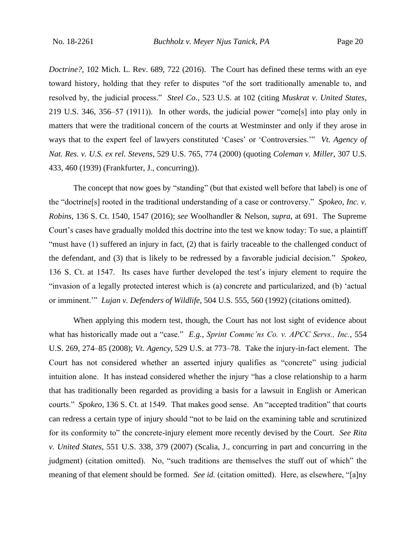*Doctrine?*, 102 Mich. L. Rev. 689, 722 (2016). The Court has defined these terms with an eye toward history, holding that they refer to disputes "of the sort traditionally amenable to, and resolved by, the judicial process." *Steel Co.*, 523 U.S. at 102 (citing *Muskrat v. United States*, 219 U.S. 346, 356–57 (1911)). In other words, the judicial power "come[s] into play only in matters that were the traditional concern of the courts at Westminster and only if they arose in ways that to the expert feel of lawyers constituted 'Cases' or 'Controversies.'" *Vt. Agency of Nat. Res. v. U.S. ex rel. Stevens*, 529 U.S. 765, 774 (2000) (quoting *Coleman v. Miller*, 307 U.S. 433, 460 (1939) (Frankfurter, J., concurring)).

The concept that now goes by "standing" (but that existed well before that label) is one of the "doctrine[s] rooted in the traditional understanding of a case or controversy." *Spokeo, Inc. v. Robins*, 136 S. Ct. 1540, 1547 (2016); *see* Woolhandler & Nelson, *supra*, at 691. The Supreme Court's cases have gradually molded this doctrine into the test we know today: To sue, a plaintiff "must have (1) suffered an injury in fact, (2) that is fairly traceable to the challenged conduct of the defendant, and (3) that is likely to be redressed by a favorable judicial decision." *Spokeo*, 136 S. Ct. at 1547. Its cases have further developed the test's injury element to require the "invasion of a legally protected interest which is (a) concrete and particularized, and (b) 'actual or imminent.'" *Lujan v. Defenders of Wildlife*, 504 U.S. 555, 560 (1992) (citations omitted).

When applying this modern test, though, the Court has not lost sight of evidence about what has historically made out a "case." *E.g.*, *Sprint Commc'ns Co. v. APCC Servs., Inc.*, 554 U.S. 269, 274–85 (2008); *Vt. Agency*, 529 U.S. at 773–78. Take the injury-in-fact element. The Court has not considered whether an asserted injury qualifies as "concrete" using judicial intuition alone. It has instead considered whether the injury "has a close relationship to a harm that has traditionally been regarded as providing a basis for a lawsuit in English or American courts." *Spokeo*, 136 S. Ct. at 1549. That makes good sense. An "accepted tradition" that courts can redress a certain type of injury should "not to be laid on the examining table and scrutinized for its conformity to" the concrete-injury element more recently devised by the Court. *See Rita v. United States*, 551 U.S. 338, 379 (2007) (Scalia, J., concurring in part and concurring in the judgment) (citation omitted). No, "such traditions are themselves the stuff out of which" the meaning of that element should be formed. *See id.* (citation omitted). Here, as elsewhere, "[a]ny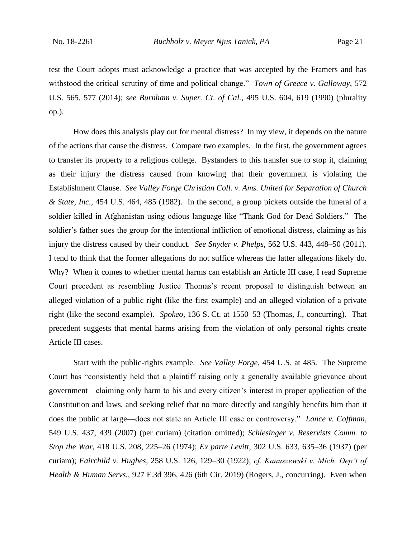test the Court adopts must acknowledge a practice that was accepted by the Framers and has withstood the critical scrutiny of time and political change." *Town of Greece v. Galloway*, 572 U.S. 565, 577 (2014); *see Burnham v. Super. Ct. of Cal.*, 495 U.S. 604, 619 (1990) (plurality op.).

How does this analysis play out for mental distress? In my view, it depends on the nature of the actions that cause the distress. Compare two examples. In the first, the government agrees to transfer its property to a religious college. Bystanders to this transfer sue to stop it, claiming as their injury the distress caused from knowing that their government is violating the Establishment Clause. *See Valley Forge Christian Coll. v. Ams. United for Separation of Church & State, Inc.*, 454 U.S. 464, 485 (1982). In the second, a group pickets outside the funeral of a soldier killed in Afghanistan using odious language like "Thank God for Dead Soldiers." The soldier's father sues the group for the intentional infliction of emotional distress, claiming as his injury the distress caused by their conduct. *See Snyder v. Phelps*, 562 U.S. 443, 448–50 (2011). I tend to think that the former allegations do not suffice whereas the latter allegations likely do. Why? When it comes to whether mental harms can establish an Article III case, I read Supreme Court precedent as resembling Justice Thomas's recent proposal to distinguish between an alleged violation of a public right (like the first example) and an alleged violation of a private right (like the second example). *Spokeo*, 136 S. Ct. at 1550–53 (Thomas, J., concurring). That precedent suggests that mental harms arising from the violation of only personal rights create Article III cases.

Start with the public-rights example. *See Valley Forge*, 454 U.S. at 485. The Supreme Court has "consistently held that a plaintiff raising only a generally available grievance about government—claiming only harm to his and every citizen's interest in proper application of the Constitution and laws, and seeking relief that no more directly and tangibly benefits him than it does the public at large—does not state an Article III case or controversy." *Lance v. Coffman*, 549 U.S. 437, 439 (2007) (per curiam) (citation omitted); *Schlesinger v. Reservists Comm. to Stop the War*, 418 U.S. 208, 225–26 (1974); *Ex parte Levitt*, 302 U.S. 633, 635–36 (1937) (per curiam); *Fairchild v. Hughes*, 258 U.S. 126, 129–30 (1922); *cf. Kanuszewski v. Mich. Dep't of Health & Human Servs.*, 927 F.3d 396, 426 (6th Cir. 2019) (Rogers, J., concurring). Even when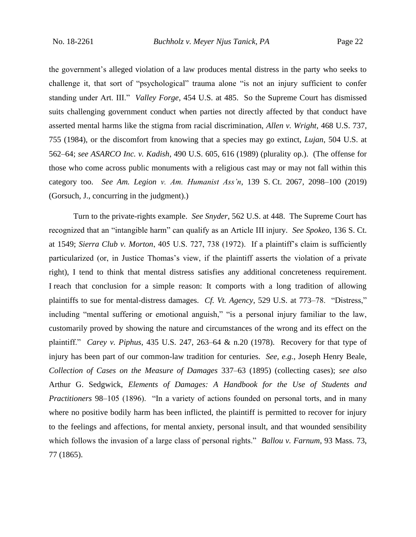the government's alleged violation of a law produces mental distress in the party who seeks to challenge it, that sort of "psychological" trauma alone "is not an injury sufficient to confer standing under Art. III." *Valley Forge*, 454 U.S. at 485. So the Supreme Court has dismissed suits challenging government conduct when parties not directly affected by that conduct have asserted mental harms like the stigma from racial discrimination, *Allen v. Wright*, 468 U.S. 737, 755 (1984), or the discomfort from knowing that a species may go extinct, *Lujan*, 504 U.S. at 562–64; *see ASARCO Inc. v. Kadish*, 490 U.S. 605, 616 (1989) (plurality op.). (The offense for those who come across public monuments with a religious cast may or may not fall within this category too. *See Am. Legion v. Am. Humanist Ass'n*, 139 S. Ct. 2067, 2098–100 (2019) (Gorsuch, J., concurring in the judgment).)

Turn to the private-rights example. *See Snyder*, 562 U.S. at 448. The Supreme Court has recognized that an "intangible harm" can qualify as an Article III injury. *See Spokeo*, 136 S. Ct. at 1549; *Sierra Club v. Morton*, 405 U.S. 727, 738 (1972). If a plaintiff's claim is sufficiently particularized (or, in Justice Thomas's view, if the plaintiff asserts the violation of a private right), I tend to think that mental distress satisfies any additional concreteness requirement. I reach that conclusion for a simple reason: It comports with a long tradition of allowing plaintiffs to sue for mental-distress damages. *Cf. Vt. Agency*, 529 U.S. at 773–78. "Distress," including "mental suffering or emotional anguish," "is a personal injury familiar to the law, customarily proved by showing the nature and circumstances of the wrong and its effect on the plaintiff." *Carey v. Piphus*, 435 U.S. 247, 263–64 & n.20 (1978). Recovery for that type of injury has been part of our common-law tradition for centuries. *See, e.g.*, Joseph Henry Beale, *Collection of Cases on the Measure of Damages* 337–63 (1895) (collecting cases); *see also* Arthur G. Sedgwick, *Elements of Damages: A Handbook for the Use of Students and Practitioners* 98–105 (1896). "In a variety of actions founded on personal torts, and in many where no positive bodily harm has been inflicted, the plaintiff is permitted to recover for injury to the feelings and affections, for mental anxiety, personal insult, and that wounded sensibility which follows the invasion of a large class of personal rights." *Ballou v. Farnum*, 93 Mass. 73, 77 (1865).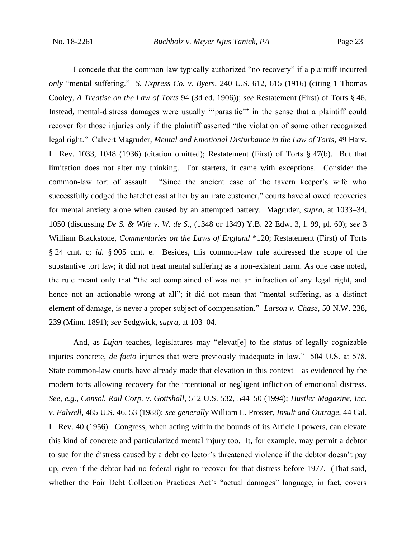I concede that the common law typically authorized "no recovery" if a plaintiff incurred *only* "mental suffering." *S. Express Co. v. Byers*, 240 U.S. 612, 615 (1916) (citing 1 Thomas Cooley, *A Treatise on the Law of Torts* 94 (3d ed. 1906)); *see* Restatement (First) of Torts § 46. Instead, mental-distress damages were usually "'parasitic'" in the sense that a plaintiff could recover for those injuries only if the plaintiff asserted "the violation of some other recognized legal right." Calvert Magruder, *Mental and Emotional Disturbance in the Law of Torts*, 49 Harv. L. Rev. 1033, 1048 (1936) (citation omitted); Restatement (First) of Torts § 47(b). But that limitation does not alter my thinking. For starters, it came with exceptions. Consider the common-law tort of assault. "Since the ancient case of the tavern keeper's wife who successfully dodged the hatchet cast at her by an irate customer," courts have allowed recoveries for mental anxiety alone when caused by an attempted battery. Magruder, *supra*, at 1033–34, 1050 (discussing *De S. & Wife v. W. de S.*, (1348 or 1349) Y.B. 22 Edw. 3, f. 99, pl. 60); *see* 3 William Blackstone, *Commentaries on the Laws of England* \*120; Restatement (First) of Torts § 24 cmt. c; *id.* § 905 cmt. e. Besides, this common-law rule addressed the scope of the substantive tort law; it did not treat mental suffering as a non-existent harm. As one case noted, the rule meant only that "the act complained of was not an infraction of any legal right, and hence not an actionable wrong at all"; it did not mean that "mental suffering, as a distinct element of damage, is never a proper subject of compensation." *Larson v. Chase*, 50 N.W. 238, 239 (Minn. 1891); *see* Sedgwick, *supra*, at 103–04.

And, as *Lujan* teaches, legislatures may "elevat<sup>[e]</sup> to the status of legally cognizable injuries concrete, *de facto* injuries that were previously inadequate in law." 504 U.S. at 578. State common-law courts have already made that elevation in this context—as evidenced by the modern torts allowing recovery for the intentional or negligent infliction of emotional distress. *See, e.g.*, *Consol. Rail Corp. v. Gottshall*, 512 U.S. 532, 544–50 (1994); *Hustler Magazine, Inc. v. Falwell*, 485 U.S. 46, 53 (1988); *see generally* William L. Prosser, *Insult and Outrage*, 44 Cal. L. Rev. 40 (1956). Congress, when acting within the bounds of its Article I powers, can elevate this kind of concrete and particularized mental injury too. It, for example, may permit a debtor to sue for the distress caused by a debt collector's threatened violence if the debtor doesn't pay up, even if the debtor had no federal right to recover for that distress before 1977. (That said, whether the Fair Debt Collection Practices Act's "actual damages" language, in fact, covers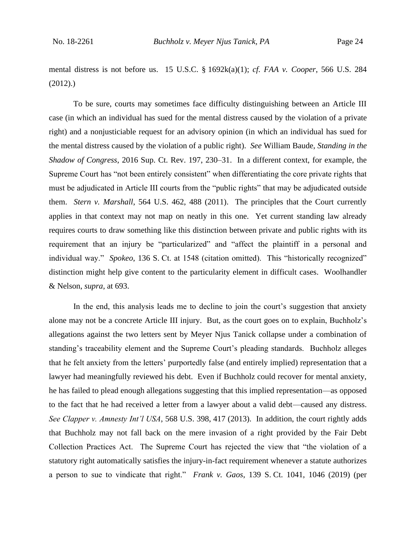mental distress is not before us. 15 U.S.C. § 1692k(a)(1); *cf. FAA v. Cooper*, 566 U.S. 284 (2012).)

To be sure, courts may sometimes face difficulty distinguishing between an Article III case (in which an individual has sued for the mental distress caused by the violation of a private right) and a nonjusticiable request for an advisory opinion (in which an individual has sued for the mental distress caused by the violation of a public right). *See* William Baude, *Standing in the Shadow of Congress*, 2016 Sup. Ct. Rev. 197, 230–31. In a different context, for example, the Supreme Court has "not been entirely consistent" when differentiating the core private rights that must be adjudicated in Article III courts from the "public rights" that may be adjudicated outside them. *Stern v. Marshall*, 564 U.S. 462, 488 (2011). The principles that the Court currently applies in that context may not map on neatly in this one. Yet current standing law already requires courts to draw something like this distinction between private and public rights with its requirement that an injury be "particularized" and "affect the plaintiff in a personal and individual way." *Spokeo*, 136 S. Ct. at 1548 (citation omitted). This "historically recognized" distinction might help give content to the particularity element in difficult cases. Woolhandler & Nelson, *supra*, at 693.

In the end, this analysis leads me to decline to join the court's suggestion that anxiety alone may not be a concrete Article III injury. But, as the court goes on to explain, Buchholz's allegations against the two letters sent by Meyer Njus Tanick collapse under a combination of standing's traceability element and the Supreme Court's pleading standards. Buchholz alleges that he felt anxiety from the letters' purportedly false (and entirely implied) representation that a lawyer had meaningfully reviewed his debt. Even if Buchholz could recover for mental anxiety, he has failed to plead enough allegations suggesting that this implied representation—as opposed to the fact that he had received a letter from a lawyer about a valid debt—caused any distress. *See Clapper v. Amnesty Int'l USA*, 568 U.S. 398, 417 (2013). In addition, the court rightly adds that Buchholz may not fall back on the mere invasion of a right provided by the Fair Debt Collection Practices Act. The Supreme Court has rejected the view that "the violation of a statutory right automatically satisfies the injury-in-fact requirement whenever a statute authorizes a person to sue to vindicate that right." *Frank v. Gaos*, 139 S. Ct. 1041, 1046 (2019) (per